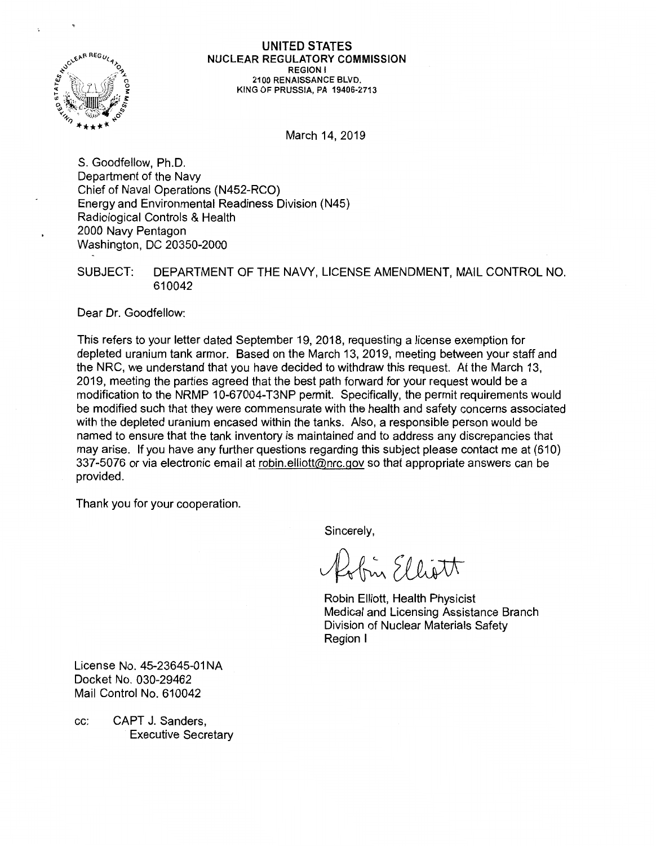

## UNITED STATES NUCLEAR REGULATORY COMMISSION REGION I 2100 RENAISSANCE BLVD. KING OF PRUSSIA, PA 19406-2713

March 14, 2019

S. Goodfellow, Ph.D. Department of the Navy Chief of Naval Operations (N452-RCO) Energy and Environmental Readiness Division (N45) Radiological Controls & Health 2000 Navy Pentagon Washington, DC 20350-2000

## SUBJECT: DEPARTMENT OF THE NAVY, LICENSE AMENDMENT, MAIL CONTROL NO. 610042

Dear Dr. Goodfellow:

This refers to your letter dated September 19, 2018, requesting a license exemption for depleted uranium tank armor. Based on the March 13, 2019, meeting between your staff and the NRC, we understand that you have decided to withdraw this request. At the March 13, 2019, meeting the parties agreed that the best path forward for your request would be a modification to the NRMP 10-67004-T3NP permit. Specifically, the permit requirements would be modified such that they were commensurate with the health and safety concerns associated with the depleted uranium encased within the tanks. Also, a responsible person would be named to ensure that the tank inventory is maintained and to address any discrepancies that may arise. If you have any further questions regarding this subject please contact me at (610) 337-5076 or via electronic email at robin.elliott@nrc.gov so that appropriate answers can be provided.

Thank you for your cooperation.

Sincerely,

fin Elliott

Robin Elliott, Health Physicist Medical and Licensing Assistance Branch Division of Nuclear Materials Safety Region I

License No. 45-23645-01 NA Docket No. 030-29462 Mail Control No. 610042

cc: CAPT J. Sanders, Executive Secretary